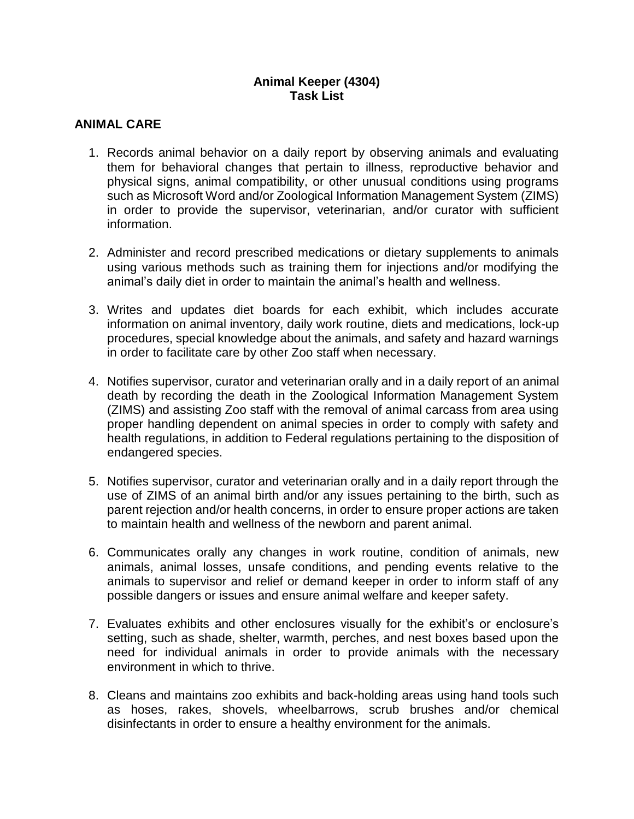# **Animal Keeper (4304) Task List**

# **ANIMAL CARE**

- 1. Records animal behavior on a daily report by observing animals and evaluating them for behavioral changes that pertain to illness, reproductive behavior and physical signs, animal compatibility, or other unusual conditions using programs such as Microsoft Word and/or Zoological Information Management System (ZIMS) in order to provide the supervisor, veterinarian, and/or curator with sufficient information.
- 2. Administer and record prescribed medications or dietary supplements to animals using various methods such as training them for injections and/or modifying the animal's daily diet in order to maintain the animal's health and wellness.
- 3. Writes and updates diet boards for each exhibit, which includes accurate information on animal inventory, daily work routine, diets and medications, lock-up procedures, special knowledge about the animals, and safety and hazard warnings in order to facilitate care by other Zoo staff when necessary.
- 4. Notifies supervisor, curator and veterinarian orally and in a daily report of an animal death by recording the death in the Zoological Information Management System (ZIMS) and assisting Zoo staff with the removal of animal carcass from area using proper handling dependent on animal species in order to comply with safety and health regulations, in addition to Federal regulations pertaining to the disposition of endangered species.
- 5. Notifies supervisor, curator and veterinarian orally and in a daily report through the use of ZIMS of an animal birth and/or any issues pertaining to the birth, such as parent rejection and/or health concerns, in order to ensure proper actions are taken to maintain health and wellness of the newborn and parent animal.
- 6. Communicates orally any changes in work routine, condition of animals, new animals, animal losses, unsafe conditions, and pending events relative to the animals to supervisor and relief or demand keeper in order to inform staff of any possible dangers or issues and ensure animal welfare and keeper safety.
- 7. Evaluates exhibits and other enclosures visually for the exhibit's or enclosure's setting, such as shade, shelter, warmth, perches, and nest boxes based upon the need for individual animals in order to provide animals with the necessary environment in which to thrive.
- 8. Cleans and maintains zoo exhibits and back-holding areas using hand tools such as hoses, rakes, shovels, wheelbarrows, scrub brushes and/or chemical disinfectants in order to ensure a healthy environment for the animals.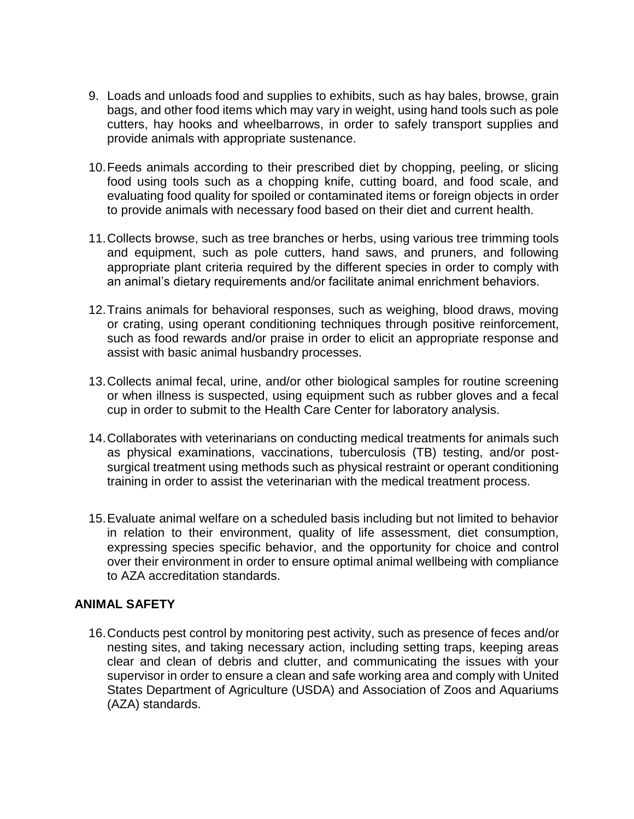- 9. Loads and unloads food and supplies to exhibits, such as hay bales, browse, grain bags, and other food items which may vary in weight, using hand tools such as pole cutters, hay hooks and wheelbarrows, in order to safely transport supplies and provide animals with appropriate sustenance.
- 10.Feeds animals according to their prescribed diet by chopping, peeling, or slicing food using tools such as a chopping knife, cutting board, and food scale, and evaluating food quality for spoiled or contaminated items or foreign objects in order to provide animals with necessary food based on their diet and current health.
- 11.Collects browse, such as tree branches or herbs, using various tree trimming tools and equipment, such as pole cutters, hand saws, and pruners, and following appropriate plant criteria required by the different species in order to comply with an animal's dietary requirements and/or facilitate animal enrichment behaviors.
- 12.Trains animals for behavioral responses, such as weighing, blood draws, moving or crating, using operant conditioning techniques through positive reinforcement, such as food rewards and/or praise in order to elicit an appropriate response and assist with basic animal husbandry processes.
- 13.Collects animal fecal, urine, and/or other biological samples for routine screening or when illness is suspected, using equipment such as rubber gloves and a fecal cup in order to submit to the Health Care Center for laboratory analysis.
- 14.Collaborates with veterinarians on conducting medical treatments for animals such as physical examinations, vaccinations, tuberculosis (TB) testing, and/or postsurgical treatment using methods such as physical restraint or operant conditioning training in order to assist the veterinarian with the medical treatment process.
- 15.Evaluate animal welfare on a scheduled basis including but not limited to behavior in relation to their environment, quality of life assessment, diet consumption, expressing species specific behavior, and the opportunity for choice and control over their environment in order to ensure optimal animal wellbeing with compliance to AZA accreditation standards.

## **ANIMAL SAFETY**

16.Conducts pest control by monitoring pest activity, such as presence of feces and/or nesting sites, and taking necessary action, including setting traps, keeping areas clear and clean of debris and clutter, and communicating the issues with your supervisor in order to ensure a clean and safe working area and comply with United States Department of Agriculture (USDA) and Association of Zoos and Aquariums (AZA) standards.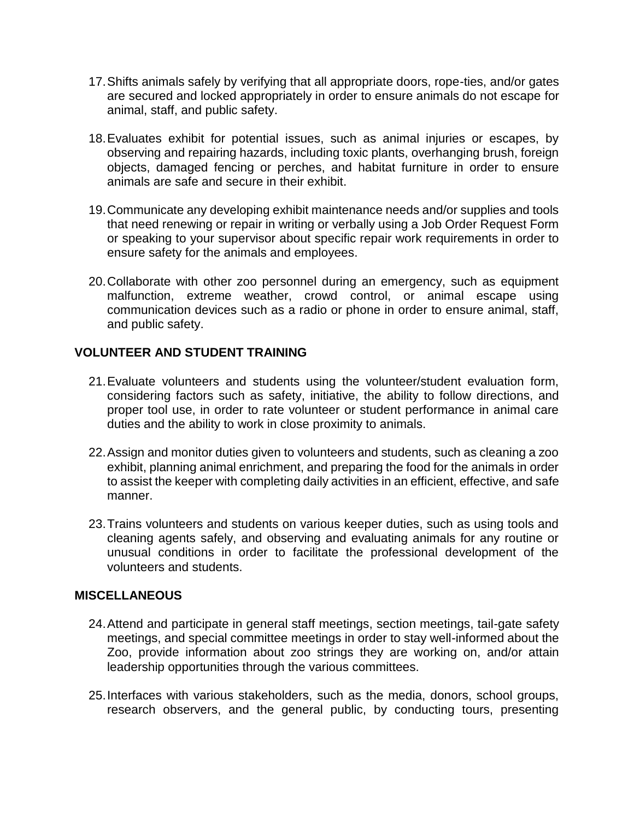- 17.Shifts animals safely by verifying that all appropriate doors, rope-ties, and/or gates are secured and locked appropriately in order to ensure animals do not escape for animal, staff, and public safety.
- 18.Evaluates exhibit for potential issues, such as animal injuries or escapes, by observing and repairing hazards, including toxic plants, overhanging brush, foreign objects, damaged fencing or perches, and habitat furniture in order to ensure animals are safe and secure in their exhibit.
- 19.Communicate any developing exhibit maintenance needs and/or supplies and tools that need renewing or repair in writing or verbally using a Job Order Request Form or speaking to your supervisor about specific repair work requirements in order to ensure safety for the animals and employees.
- 20.Collaborate with other zoo personnel during an emergency, such as equipment malfunction, extreme weather, crowd control, or animal escape using communication devices such as a radio or phone in order to ensure animal, staff, and public safety.

## **VOLUNTEER AND STUDENT TRAINING**

- 21.Evaluate volunteers and students using the volunteer/student evaluation form, considering factors such as safety, initiative, the ability to follow directions, and proper tool use, in order to rate volunteer or student performance in animal care duties and the ability to work in close proximity to animals.
- 22.Assign and monitor duties given to volunteers and students, such as cleaning a zoo exhibit, planning animal enrichment, and preparing the food for the animals in order to assist the keeper with completing daily activities in an efficient, effective, and safe manner.
- 23.Trains volunteers and students on various keeper duties, such as using tools and cleaning agents safely, and observing and evaluating animals for any routine or unusual conditions in order to facilitate the professional development of the volunteers and students.

#### **MISCELLANEOUS**

- 24.Attend and participate in general staff meetings, section meetings, tail-gate safety meetings, and special committee meetings in order to stay well-informed about the Zoo, provide information about zoo strings they are working on, and/or attain leadership opportunities through the various committees.
- 25.Interfaces with various stakeholders, such as the media, donors, school groups, research observers, and the general public, by conducting tours, presenting